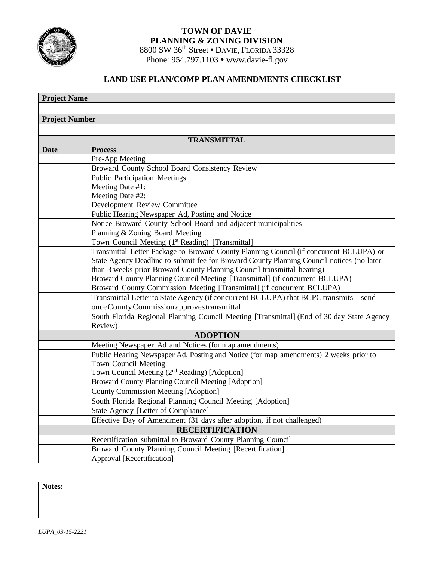

# **TOWN OF DAVIE PLANNING & ZONING DIVISION** 8800 SW 36<sup>th</sup> Street . DAVIE, FLORIDA 33328 Phone: 954.797.1103 • [www.davie-fl.gov](http://www.davie-fl.gov/)

# **LAND USE PLAN/COMP PLAN AMENDMENTS CHECKLIST**

| <b>Project Name</b>    |                                                                                                                                                        |
|------------------------|--------------------------------------------------------------------------------------------------------------------------------------------------------|
|                        |                                                                                                                                                        |
| <b>Project Number</b>  |                                                                                                                                                        |
|                        |                                                                                                                                                        |
| <b>TRANSMITTAL</b>     |                                                                                                                                                        |
| <b>Date</b>            | <b>Process</b>                                                                                                                                         |
|                        | Pre-App Meeting                                                                                                                                        |
|                        | Broward County School Board Consistency Review                                                                                                         |
|                        | <b>Public Participation Meetings</b>                                                                                                                   |
|                        | Meeting Date #1:                                                                                                                                       |
|                        | Meeting Date #2:                                                                                                                                       |
|                        | Development Review Committee                                                                                                                           |
|                        | Public Hearing Newspaper Ad, Posting and Notice                                                                                                        |
|                        | Notice Broward County School Board and adjacent municipalities                                                                                         |
|                        | Planning & Zoning Board Meeting                                                                                                                        |
|                        | Town Council Meeting (1st Reading) [Transmittal]                                                                                                       |
|                        | Transmittal Letter Package to Broward County Planning Council (if concurrent BCLUPA) or                                                                |
|                        | State Agency Deadline to submit fee for Broward County Planning Council notices (no later                                                              |
|                        | than 3 weeks prior Broward County Planning Council transmittal hearing)                                                                                |
|                        | Broward County Planning Council Meeting [Transmittal] (if concurrent BCLUPA)<br>Broward County Commission Meeting [Transmittal] (if concurrent BCLUPA) |
|                        | Transmittal Letter to State Agency (if concurrent BCLUPA) that BCPC transmits - send                                                                   |
|                        | once County Commission approves transmittal                                                                                                            |
|                        | South Florida Regional Planning Council Meeting [Transmittal] (End of 30 day State Agency                                                              |
|                        | Review)                                                                                                                                                |
| <b>ADOPTION</b>        |                                                                                                                                                        |
|                        | Meeting Newspaper Ad and Notices (for map amendments)                                                                                                  |
|                        | Public Hearing Newspaper Ad, Posting and Notice (for map amendments) 2 weeks prior to                                                                  |
|                        | Town Council Meeting                                                                                                                                   |
|                        | Town Council Meeting (2 <sup>nd</sup> Reading) [Adoption]                                                                                              |
|                        | Broward County Planning Council Meeting [Adoption]                                                                                                     |
|                        | <b>County Commission Meeting [Adoption]</b>                                                                                                            |
|                        | South Florida Regional Planning Council Meeting [Adoption]                                                                                             |
|                        | State Agency [Letter of Compliance]                                                                                                                    |
|                        | Effective Day of Amendment (31 days after adoption, if not challenged)                                                                                 |
| <b>RECERTIFICATION</b> |                                                                                                                                                        |
|                        | Recertification submittal to Broward County Planning Council                                                                                           |
|                        | Broward County Planning Council Meeting [Recertification]                                                                                              |
|                        | Approval [Recertification]                                                                                                                             |

**Notes:**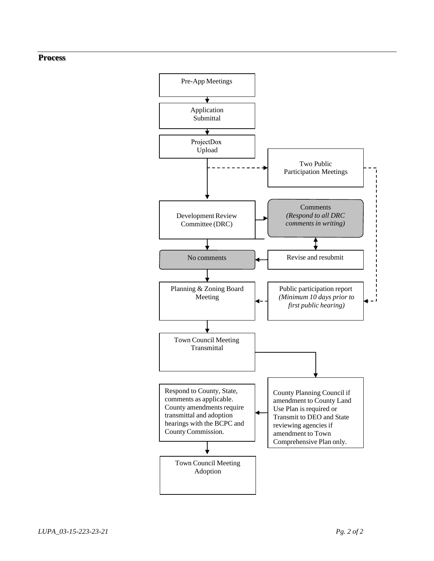## **Process**

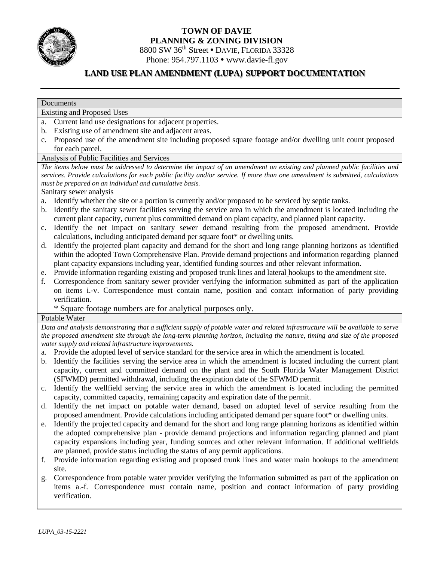

# **TOWN OF DAVIE PLANNING & ZONING DIVISION** 8800 SW 36<sup>th</sup> Street • DAVIE, FLORIDA 33328

Phone: 954.797.1103 • [www.davie-fl.gov](http://www.davie-fl.gov/)

# **LAND USE PLAN AMENDMENT (LUPA) SUPPORT DOCUMENTATION**

# **Documents**

Existing and Proposed Uses

- a. Current land use designations for adjacent properties.
- b. Existing use of amendment site and adjacent areas.
- c. Proposed use of the amendment site including proposed square footage and/or dwelling unit count proposed for each parcel.

# Analysis of Public Facilities and Services

The items below must be addressed to determine the impact of an amendment on existing and planned public facilities and *services. Provide calculations for each public facility and/or service. If more than one amendment is submitted, calculations must be prepared on an individual and cumulative basis.*

Sanitary sewer analysis

- a. Identify whether the site or a portion is currently and/or proposed to be serviced by septic tanks.
- b. Identify the sanitary sewer facilities serving the service area in which the amendment is located including the current plant capacity, current plus committed demand on plant capacity, and planned plant capacity.
- c. Identify the net impact on sanitary sewer demand resulting from the proposed amendment. Provide calculations, including anticipated demand per square foot\* or dwelling units.
- d. Identify the projected plant capacity and demand for the short and long range planning horizons as identified within the adopted Town Comprehensive Plan. Provide demand projections and information regarding planned plant capacity expansions including year, identified funding sources and other relevant information.
- e. Provide information regarding existing and proposed trunk lines and lateral hookups to the amendment site.
- f. Correspondence from sanitary sewer provider verifying the information submitted as part of the application on items i.-v. Correspondence must contain name, position and contact information of party providing verification.

\* Square footage numbers are for analytical purposes only.

# Potable Water

Data and analysis demonstrating that a sufficient supply of potable water and related infrastructure will be available to serve the proposed amendment site through the long-term planning horizon, including the nature, timing and size of the proposed *watersupply and related infrastructure improvements.*

- a. Provide the adopted level of service standard for the service area in which the amendment is located.
- b. Identify the facilities serving the service area in which the amendment is located including the current plant capacity, current and committed demand on the plant and the South Florida Water Management District (SFWMD) permitted withdrawal, including the expiration date of the SFWMD permit.
- c. Identify the wellfield serving the service area in which the amendment is located including the permitted capacity, committed capacity, remaining capacity and expiration date of the permit.
- d. Identify the net impact on potable water demand, based on adopted level of service resulting from the proposed amendment. Provide calculations including anticipated demand per square foot\* or dwelling units.
- e. Identify the projected capacity and demand for the short and long range planning horizons as identified within the adopted comprehensive plan - provide demand projections and information regarding planned and plant capacity expansions including year, funding sources and other relevant information. If additional wellfields are planned, provide status including the status of any permit applications.
- f. Provide information regarding existing and proposed trunk lines and water main hookups to the amendment site.
- g. Correspondence from potable water provider verifying the information submitted as part of the application on items a.-f. Correspondence must contain name, position and contact information of party providing verification.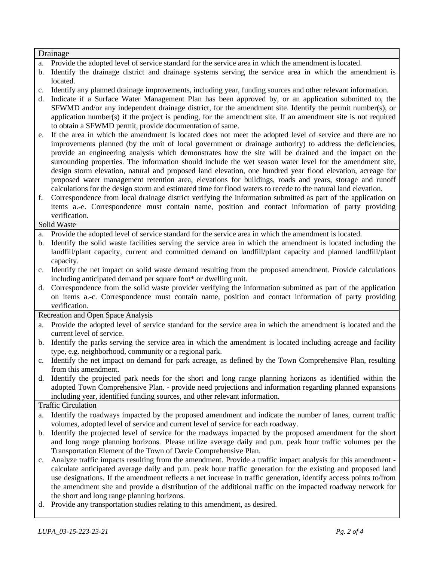# Drainage

- a. Provide the adopted level of service standard for the service area in which the amendment is located.
- b. Identify the drainage district and drainage systems serving the service area in which the amendment is located.
- c. Identify any planned drainage improvements, including year, funding sources and other relevant information.
- d. Indicate if a Surface Water Management Plan has been approved by, or an application submitted to, the SFWMD and/or any independent drainage district, for the amendment site. Identify the permit number(s), or application number(s) if the project is pending, for the amendment site. If an amendment site is not required to obtain a SFWMD permit, provide documentation of same.
- e. If the area in which the amendment is located does not meet the adopted level of service and there are no improvements planned (by the unit of local government or drainage authority) to address the deficiencies, provide an engineering analysis which demonstrates how the site will be drained and the impact on the surrounding properties. The information should include the wet season water level for the amendment site, design storm elevation, natural and proposed land elevation, one hundred year flood elevation, acreage for proposed water management retention area, elevations for buildings, roads and years, storage and runoff calculations for the design storm and estimated time for flood waters to recede to the natural land elevation.
- f. Correspondence from local drainage district verifying the information submitted as part of the application on items a.-e. Correspondence must contain name, position and contact information of party providing verification.

### Solid Waste

a. Provide the adopted level of service standard for the service area in which the amendment is located.

- b. Identify the solid waste facilities serving the service area in which the amendment is located including the landfill/plant capacity, current and committed demand on landfill/plant capacity and planned landfill/plant capacity.
- c. Identify the net impact on solid waste demand resulting from the proposed amendment. Provide calculations including anticipated demand per square foot\* or dwelling unit.
- d. Correspondence from the solid waste provider verifying the information submitted as part of the application on items a.-c. Correspondence must contain name, position and contact information of party providing verification.

Recreation and Open Space Analysis

- a. Provide the adopted level of service standard for the service area in which the amendment is located and the current level of service.
- b. Identify the parks serving the service area in which the amendment is located including acreage and facility type, e.g. neighborhood, community or a regional park.
- c. Identify the net impact on demand for park acreage, as defined by the Town Comprehensive Plan, resulting from this amendment.
- d. Identify the projected park needs for the short and long range planning horizons as identified within the adopted Town Comprehensive Plan. - provide need projections and information regarding planned expansions including year, identified funding sources, and other relevant information.

### Traffic Circulation

- a. Identify the roadways impacted by the proposed amendment and indicate the number of lanes, current traffic volumes, adopted level of service and current level of service for each roadway.
- b. Identify the projected level of service for the roadways impacted by the proposed amendment for the short and long range planning horizons. Please utilize average daily and p.m. peak hour traffic volumes per the Transportation Element of the Town of Davie Comprehensive Plan.
- c. Analyze traffic impacts resulting from the amendment. Provide a traffic impact analysis for this amendment calculate anticipated average daily and p.m. peak hour traffic generation for the existing and proposed land use designations. If the amendment reflects a net increase in traffic generation, identify access points to/from the amendment site and provide a distribution of the additional traffic on the impacted roadway network for the short and long range planning horizons.
- d. Provide any transportation studies relating to this amendment, as desired.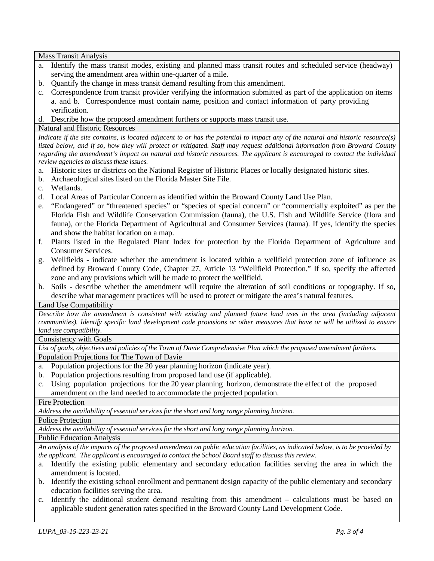Mass Transit Analysis

- a. Identify the mass transit modes, existing and planned mass transit routes and scheduled service (headway) serving the amendment area within one-quarter of a mile.
- b. Quantify the change in mass transit demand resulting from this amendment.
- c. Correspondence from transit provider verifying the information submitted as part of the application on items a. and b. Correspondence must contain name, position and contact information of party providing verification.
- d. Describe how the proposed amendment furthers or supports mass transit use.

# Natural and Historic Resources

Indicate if the site contains, is located adjacent to or has the potential to impact any of the natural and historic resource(s) listed below, and if so, how they will protect or mitigated. Staff may request additional information from Broward County regarding the amendment's impact on natural and historic resources. The applicant is encouraged to contact the individual *review agencies to discuss these issues.*

- a. Historic sites or districts on the National Register of Historic Places or locally designated historic sites.
- b. Archaeological sites listed on the Florida Master Site File.
- c. Wetlands.
- d. Local Areas of Particular Concern as identified within the Broward County Land Use Plan.
- e. "Endangered" or "threatened species" or "species of special concern" or "commercially exploited" as per the Florida Fish and Wildlife Conservation Commission (fauna), the U.S. Fish and Wildlife Service (flora and fauna), or the Florida Department of Agricultural and Consumer Services (fauna). If yes, identify the species and show the habitat location on a map.
- f. Plants listed in the Regulated Plant Index for protection by the Florida Department of Agriculture and Consumer Services.
- g. Wellfields indicate whether the amendment is located within a wellfield protection zone of influence as defined by Broward County Code, Chapter 27, Article 13 "Wellfield Protection." If so, specify the affected zone and any provisions which will be made to protect the wellfield.
- h. Soils describe whether the amendment will require the alteration of soil conditions or topography. If so, describe what management practices will be used to protect or mitigate the area's natural features.

# Land Use Compatibility

Describe how the amendment is consistent with existing and planned future land uses in the area (including adjacent communities). Identify specific land development code provisions or other measures that have or will be utilized to ensure *land use compatibility.*

# Consistency with Goals

List of goals, objectives and policies of the Town of Davie Comprehensive Plan which the proposed amendment furthers.

# Population Projections for The Town of Davie

- a. Population projections for the 20 year planning horizon (indicate year).
- b. Population projections resulting from proposed land use (if applicable).
- c. Using population projections for the 20 year planning horizon, demonstrate the effect of the proposed amendment on the land needed to accommodate the projected population.

### Fire Protection

*Address the availability of essential services for the short and long range planning horizon.*

## Police Protection

*Address the availability of essential services for the short and long range planning horizon.*

# Public Education Analysis

An analysis of the impacts of the proposed amendment on public education facilities, as indicated below, is to be provided by *the applicant. The applicant is encouraged to contact the School Board staff to discuss this review.*

- a. Identify the existing public elementary and secondary education facilities serving the area in which the amendment is located.
- b. Identify the existing school enrollment and permanent design capacity of the public elementary and secondary education facilities serving the area.
- c. Identify the additional student demand resulting from this amendment calculations must be based on applicable student generation rates specified in the Broward County Land Development Code.